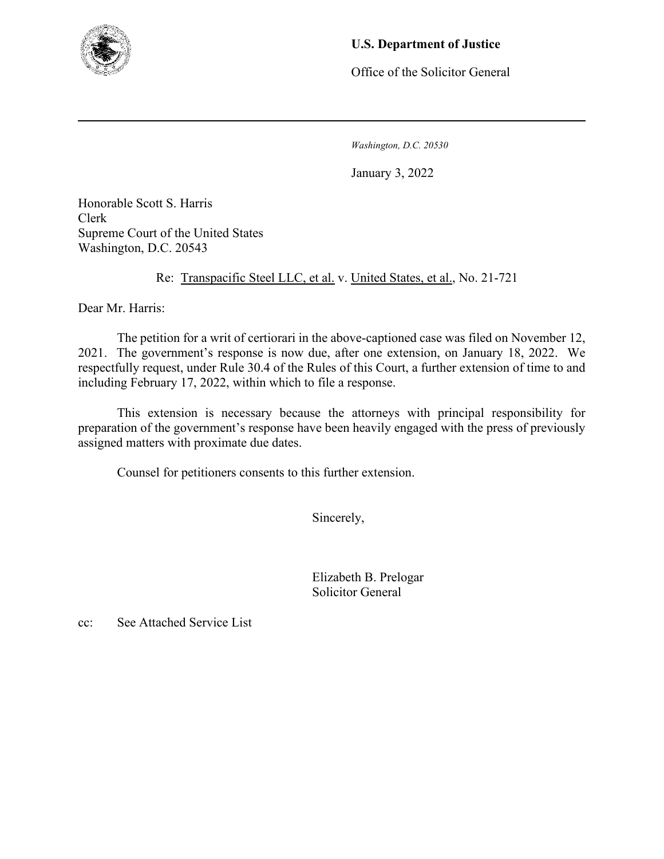

## **U.S. Department of Justice**

Office of the Solicitor General

*Washington, D.C. 20530*

January 3, 2022

Honorable Scott S. Harris Clerk Supreme Court of the United States Washington, D.C. 20543

Re: Transpacific Steel LLC, et al. v. United States, et al., No. 21-721

Dear Mr. Harris:

The petition for a writ of certiorari in the above-captioned case was filed on November 12, 2021. The government's response is now due, after one extension, on January 18, 2022. We respectfully request, under Rule 30.4 of the Rules of this Court, a further extension of time to and including February 17, 2022, within which to file a response.

This extension is necessary because the attorneys with principal responsibility for preparation of the government's response have been heavily engaged with the press of previously assigned matters with proximate due dates.

Counsel for petitioners consents to this further extension.

Sincerely,

 Elizabeth B. Prelogar Solicitor General

cc: See Attached Service List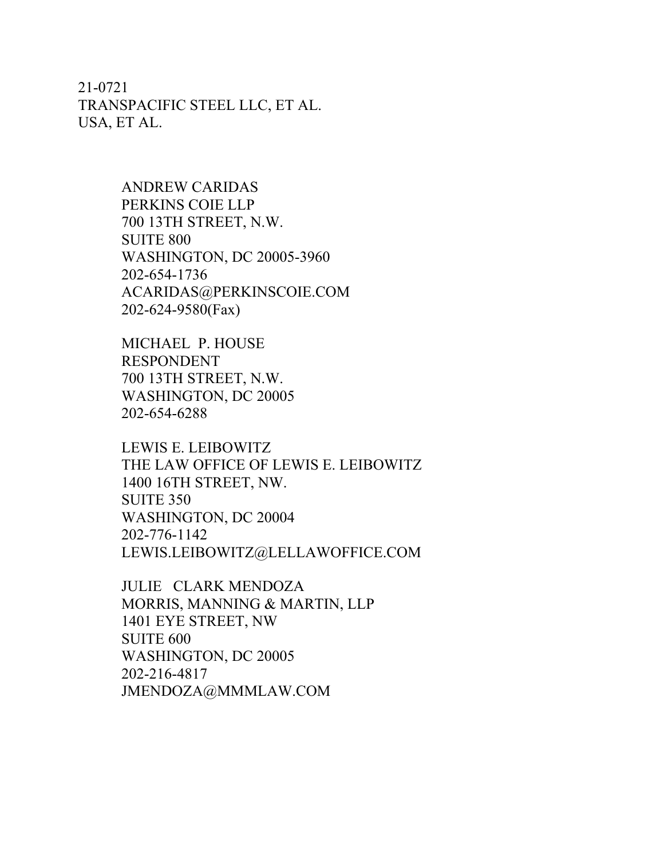21-0721 TRANSPACIFIC STEEL LLC, ET AL. USA, ET AL.

> ANDREW CARIDAS PERKINS COIE LLP 700 13TH STREET, N.W. SUITE 800 WASHINGTON, DC 20005-3960 202-654-1736 ACARIDAS@PERKINSCOIE.COM 202-624-9580(Fax)

MICHAEL P. HOUSE RESPONDENT 700 13TH STREET, N.W. WASHINGTON, DC 20005 202-654-6288

LEWIS E. LEIBOWITZ THE LAW OFFICE OF LEWIS E. LEIBOWITZ 1400 16TH STREET, NW. SUITE 350 WASHINGTON, DC 20004 202-776-1142 LEWIS.LEIBOWITZ@LELLAWOFFICE.COM

JULIE CLARK MENDOZA MORRIS, MANNING & MARTIN, LLP 1401 EYE STREET, NW SUITE 600 WASHINGTON, DC 20005 202-216-4817 JMENDOZA@MMMLAW.COM